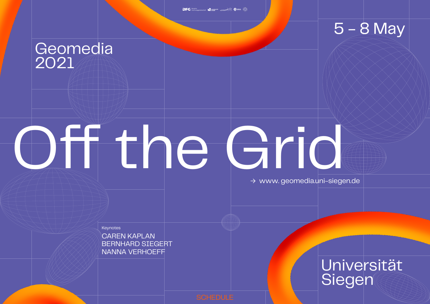BERNHARD SIEGERT CAREN KAPLAN NANNA VERHOEFF

### **Geomedia** 2021

# Off the Grid

### 5 - 8 May

## Universität Siegen

→ www. geomedia.uni-siegen.de

**Keynotes**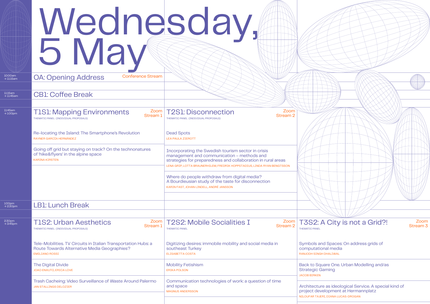## Wednesday, 5 May

#### Zoom Stream 3

nd Spaces: On address grids of onal media **H DHALIWAL** 

uare One. Urban Modelling and/as Gaming

re as ideological Service. A special kind of velopment at Hermannplatz ERI, DIANA LUCAS-DROGAN

| 10:00am<br>$\rightarrow$ 11:15am | <b>Conference Stream</b><br><b>OA: Opening Address</b>                                                                                  |                                                                                                                                                                                                                                              |                                                                |
|----------------------------------|-----------------------------------------------------------------------------------------------------------------------------------------|----------------------------------------------------------------------------------------------------------------------------------------------------------------------------------------------------------------------------------------------|----------------------------------------------------------------|
| 11:15am<br>$\rightarrow$ 11:45am | <b>CB1: Coffee Break</b>                                                                                                                |                                                                                                                                                                                                                                              |                                                                |
| 11:45am<br>$\rightarrow$ 1:00pm  | <b>T1S1: Mapping Environments</b><br>Stream 1<br>THEMATIC PANEL (INDIVIDUAL PROPOSALS)                                                  | Zoom<br>Zoom   T2S1: Disconnection<br><b>Stream 2</b><br>THEMATIC PANEL (INDIVIDUAL PROPOSALS)                                                                                                                                               |                                                                |
|                                  | Re-locating the Island: The Smartphone's Revolution<br>RAYNER GARCÍA HERNÁNDEZ                                                          | <b>Dead Spots</b><br><b>LEA PAULA ZIEROTT</b>                                                                                                                                                                                                |                                                                |
|                                  | Going off grid but staying on track? On the technonatures<br>of 'hike&flyers' in the alpine space<br><b>KARINA KIRSTEN</b>              | Incorporating the Swedish tourism sector in crisis<br>management and communication - methods and<br>strategies for preparedness and collaboration in rural areas<br>LENA GRIP, LOTTA BRAUNERHILEM, FREDRIK HOPPSTADIUS, LINDA RYAN BENGTSSON |                                                                |
|                                  |                                                                                                                                         | Where do people withdraw from digital media?<br>A Bourdieusian study of the taste for disconnection<br>KARIN FAST, JOHAN LINDELL, ANDRÉ JANSSON                                                                                              |                                                                |
| $100$ pm<br>$\rightarrow$ 2:30pm | <b>LB1: Lunch Break</b>                                                                                                                 |                                                                                                                                                                                                                                              |                                                                |
| 2:30pm<br>$\rightarrow$ 3:45pm   | <b>T1S2: Urban Aesthetics</b><br>Zoom<br>Stream 1<br>THEMATIC PANEL (INDIVIDUAL PROPOSALS)                                              | <b>T2S2: Mobile Socialities I</b><br>Zoom<br><b>Stream 2</b><br><b>THEMATIC PANEL</b>                                                                                                                                                        | <b>THEMATIC PANEL</b>                                          |
|                                  | Tele-Mobilities. TV Circuits in Italian Transportation Hubs: a<br>Route Towards Alternative Media Geographies?<br><b>EMILIANO ROSSI</b> | Digitizing desires: immobile mobility and social media in<br>southeast Turkey<br>ELISABETTA COSTA                                                                                                                                            | Symbols ar<br>computatio<br><b>RANJODH SING</b>                |
|                                  | The Digital Divide<br>JOAO ENXUTO, ERICA LOVE                                                                                           | <b>Mobility Fetishism</b><br><b>ERIKA POLSON</b>                                                                                                                                                                                             | <b>Back to Sq</b><br><b>Strategic G</b><br><b>JACOB BIRKEN</b> |
|                                  | Trash Cacheing: Video Surveillance of Waste Around Palermo<br><b>JAN STALLINGS DELOZIER</b>                                             | Communication technologies of work: a question of time<br>and space<br><b>MAGNUS ANDERSSON</b>                                                                                                                                               | Architectur<br>project dev<br><b>NILOUFAR TAJE</b>             |
|                                  |                                                                                                                                         |                                                                                                                                                                                                                                              |                                                                |



#### A City is not a Grid?!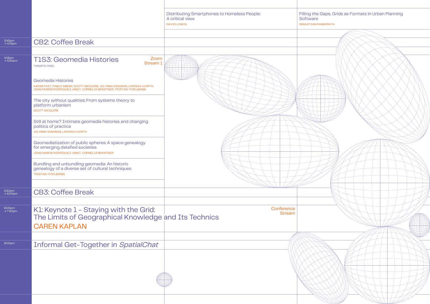|                                |                                                                                                                                                                                                                                                                 | <b>Distributing Smartphones to Homeless People:</b><br>A critical view<br><b>DAVID LOWIS</b> | <b>Filling the Ga</b><br>Software<br><b>SEBASTIAN RAND</b> |
|--------------------------------|-----------------------------------------------------------------------------------------------------------------------------------------------------------------------------------------------------------------------------------------------------------------|----------------------------------------------------------------------------------------------|------------------------------------------------------------|
| 3:45pm<br>→ 4:15pm             | <b>CB2: Coffee Break</b>                                                                                                                                                                                                                                        |                                                                                              |                                                            |
| 4:15pm<br>→ 5:30pm             | Zoom<br><b>T1S3: Geomedia Histories</b><br><b>Stream 1</b><br><b>THEMATIC PANEL</b><br><b>Geomedia Histories</b><br>KARIN FAST, PABLO ABEND, SCOTT MCQUIRE, JOLYNNA SINANAN, LARISSA HJORTH,<br>JOAN RAMON RODRIGUEZ-AMAT, CORNELIA BRANTNER, TRISTAN THIELMANN |                                                                                              |                                                            |
|                                | The city without qualities: From systems theory to<br>platform urbanism<br><b>SCOTT MCQUIRE</b>                                                                                                                                                                 |                                                                                              |                                                            |
|                                | Still at home? Intimate geomedia histories and changing<br>politics of practice<br>JOLYNNA SINANAN, LARISSA HJORTH                                                                                                                                              |                                                                                              |                                                            |
|                                | Geomediatization of public spheres: A space genealogy<br>for emerging datafied societies<br>JOAN RAMON RODRIGUEZ-AMAT, CORNELIA BRANTNER                                                                                                                        |                                                                                              |                                                            |
|                                | Bundling and unbundling geomedia: An historic<br>genealogy of a diverse set of cultural techniques<br><b>TRISTAN THIELMANN</b>                                                                                                                                  |                                                                                              |                                                            |
| 5:30pm<br>$\rightarrow$ 6:00pm | <b>CB3: Coffee Break</b>                                                                                                                                                                                                                                        |                                                                                              |                                                            |
| 6:00pm<br>→ 7:30pm             | K1: Keynote 1 - Staying with the Grid:<br>The Limits of Geographical Knowledge and Its Technics<br><b>CAREN KAPLAN</b>                                                                                                                                          | Conference<br><b>Stream</b>                                                                  |                                                            |
| 8:00pm                         | <b>Informal Get-Together in SpatialChat</b>                                                                                                                                                                                                                     |                                                                                              |                                                            |
|                                |                                                                                                                                                                                                                                                                 |                                                                                              |                                                            |
|                                |                                                                                                                                                                                                                                                                 |                                                                                              |                                                            |

#### aps. Grids as Formats in Urban Planning

#### **ERATH**

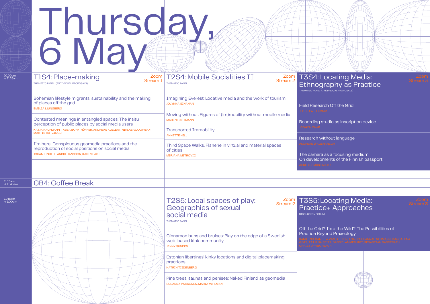## Thursday, 6 May

10:00am<br>→ 11:15am

11:45am<br> $\rightarrow$  1:00pm

| 10:00am<br>$\rightarrow$ 11:15am | <b>T1S4: Place-making</b><br>Stream 1<br>THEMATIC PANEL (INDIVIDUAL PROPOSALS)                                                                   | <sup>Zoom</sup>   T2S4: Mobile Socialities II<br>Zoom<br>Stream <sub>2</sub><br><b>THEMATIC PANEL</b>                        | <b>T3S4:Lo</b><br>Ethnogr<br>THEMATIC PANEL (IN                                         |
|----------------------------------|--------------------------------------------------------------------------------------------------------------------------------------------------|------------------------------------------------------------------------------------------------------------------------------|-----------------------------------------------------------------------------------------|
|                                  | Bohemian lifestyle migrants, sustainability and the making<br>of places off the grid<br><b>EMILIA LJUNGBERG</b>                                  | Imagining Everest: Locative media and the work of tourism<br><b>JOLYNNA SINANAN</b>                                          | <b>Field Researd</b>                                                                    |
|                                  | Contested meanings in entangled spaces: The insitu<br>perception of public places by social media users                                          | Moving without: Figures of (im)mobility without mobile media<br><b>MAREN HARTMANN</b>                                        | UDITH WILLKOM<br>Recording sti                                                          |
|                                  | KATJA KAUFMANN, TABEA BORK-HÜFFER, ANDREAS KOLLERT, NIKLAS GUDOWSKY,<br><b>MARTIN RUTZINGER</b>                                                  | <b>Transported Immobility</b><br><b>ANNETTE HILL</b>                                                                         | <b>JOOHON CHAE</b><br><b>Research wit</b>                                               |
|                                  | I'm here! Conspicuous geomedia practices and the<br>reproduction of social positions on social media<br>JOHAN LINDELL, ANDRÉ JANSSON, KARIN FAST | Third Space Walks. Flanerie in virtual and material spaces<br>of cities<br>MIRJANA MITROVIC                                  | The camera a                                                                            |
|                                  |                                                                                                                                                  |                                                                                                                              | On developm                                                                             |
| 11:15am<br>$\rightarrow$ 11:45am | <b>CB4: Coffee Break</b>                                                                                                                         |                                                                                                                              |                                                                                         |
| 11:45am<br>$\rightarrow$ 1:00pm  |                                                                                                                                                  | T2S5: Local spaces of play:<br>Zoom<br>Stream <sub>2</sub><br>Geographies of sexual<br>social media<br><b>THEMATIC PANEL</b> | <b>T3S5: Lo</b><br>Practice<br><b>DISCUSSION FORUM</b><br>Off the Grid?<br>Practice Bey |
|                                  |                                                                                                                                                  | Cinnamon buns and bruises: Play on the edge of a Swedish<br>web-based kink community<br><b>JENNY SUNDÉN</b>                  |                                                                                         |
|                                  |                                                                                                                                                  | Estonian libertines' kinky locations and digital placemaking<br>practices<br><b>KATRIN TIIDENBERG</b>                        |                                                                                         |
|                                  |                                                                                                                                                  | Pine trees, saunas and penises: Naked Finland as geomedia<br>SUSANNA PAASONEN, MARIA VIHLMAN                                 |                                                                                         |
|                                  |                                                                                                                                                  |                                                                                                                              |                                                                                         |



#### ocating Media: aphy as Practice

T<br>DIVIDUAL PROPOSALS)

h Off the Grid

udio as inscription device

hout language

as a focusing medium: ents of the Finnish passport

#### ocating Media: + Approaches

Into the Wild? The Possibilities of ond Praxeology

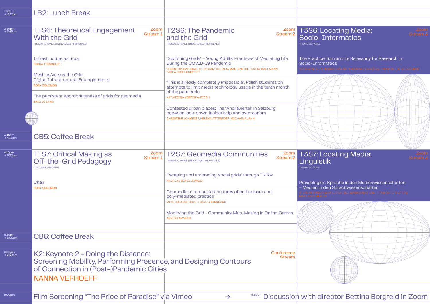| 1:00pm<br>$\rightarrow$ 2:30pm | <b>LB2: Lunch Break</b>                                                                                                                                                    |                                                                                                                                                                                               |                                                                      |
|--------------------------------|----------------------------------------------------------------------------------------------------------------------------------------------------------------------------|-----------------------------------------------------------------------------------------------------------------------------------------------------------------------------------------------|----------------------------------------------------------------------|
| 2:30pm<br>→ 3:45pm             | Zoom<br><b>T1S6: Theoretical Engagement</b><br>Stream 1<br><b>With the Grid</b><br>THEMATIC PANEL (INDIVIDUAL PROPOSALS)                                                   | T2S6: The Pandemic<br>Zoom<br>Stream 2<br>and the Grid<br>THEMATIC PANEL (INDIVIDUAL PROPOSALS)                                                                                               | <b>T3S6: Loc</b><br>Socio-Inf<br><b>THEMATIC PANEL</b>               |
|                                | Infrastructure as ritual<br><b>RONJA TRISCHLER</b>                                                                                                                         | "Switching Grids" - Young Adults' Practices of Mediating Life<br>During the COVID-19 Pandemic<br>CHRISTOPH MICHAEL STRAGANZ, BELINDA MAHLKNECHT, KATJA KAUFMANN,<br><b>TABEA BORK-HUEFFER</b> | <b>The Practice Tu</b><br>Socio-Informat<br><b>OLKER WULF, GUNNA</b> |
|                                | Mesh as/versus the Grid:<br><b>Digital Infrastructural Entanglements</b><br><b>RORY SOLOMON</b><br>The persistent appropriateness of grids for geomedia                    | "This is already completely impossible". Polish students on<br>attempts to limit media technology usage in the tenth month<br>of the pandemic<br>KATARZYNA KOPECKA-PIECH                      |                                                                      |
|                                | <b>ERIC LOSANG</b>                                                                                                                                                         | Contested urban places: The "Andräviertel" in Salzburg<br>between lock-down, insider's tip and overtourism<br>CHRISTINE LOHMEIER, HELENA ATTENEDER, MICHAELA JAHN                             |                                                                      |
| 3:45pm<br>$\rightarrow$ 4:15pm | <b>CB5: Coffee Break</b>                                                                                                                                                   |                                                                                                                                                                                               |                                                                      |
| 4:15pm<br>→ 5:30pm             | <b>T1S7: Critical Making as</b><br>Zoom<br>Stream 1<br>Off-the-Grid Pedagogy<br><b>DISCUSSION FORUM</b>                                                                    | <b>T2S7: Geomedia Communities</b><br>Zoom<br><b>Stream 2</b><br>THEMATIC PANEL (INDIVIDUAL PROPOSALS)                                                                                         | T3S7: Loc<br>Linguistik<br><b>THEMATIC PANEL</b>                     |
|                                | Chair                                                                                                                                                                      | Escaping and embracing 'social grids' through TikTok<br><b>ANDREAS SCHELLEWALD</b>                                                                                                            | Praxeologien: S                                                      |
|                                | <b>RORY SOLOMON</b>                                                                                                                                                        | Geomedia communities: cultures of enthusiasm and<br>poly-mediated practice<br>MIKE DUGGAN, CRISTINA A. G. KIMINAMI                                                                            | – Medien in den                                                      |
|                                |                                                                                                                                                                            | Modifying the Grid - Community Map-Making in Online Games<br><b>ARVID KAMMLER</b>                                                                                                             |                                                                      |
| 5:30pm<br>$\rightarrow$ 6:00pm | <b>CB6: Coffee Break</b>                                                                                                                                                   |                                                                                                                                                                                               |                                                                      |
| 6:00pm<br>→ 7:30pm             | K2: Keynote 2 - Doing the Distance:<br>Screening Mobility, Performing Presence, and Designing Contours<br>of Connection in (Post-)Pandemic Cities<br><b>NANNA VERHOEFF</b> | Conference<br><b>Stream</b>                                                                                                                                                                   |                                                                      |
| 8:00pm                         | Film Screening "The Price of Paradise" via Vimeo                                                                                                                           | 9:45pm Discussion with dire<br>$\rightarrow$                                                                                                                                                  |                                                                      |
|                                |                                                                                                                                                                            |                                                                                                                                                                                               |                                                                      |

#### T3S6: Locating Media: Socio-Informatics

#### Turn and its Relevancy for Research in natics



### T3S7: Locating Media:

Praxeologien: Sprache in den Medienwissenschaften – Medien in den Sprachwissenschaften



#### Film Screening "The Paradise" via Vineotor Bettina Borgfeld in Zoom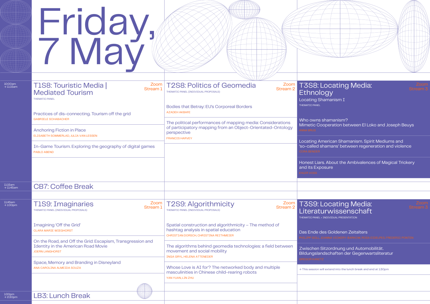| 10:00am<br>$\rightarrow$ 11:15am | <b>T1S8: Touristic Media</b><br><b>Mediated Tourism</b><br><b>THEMATIC PANEL</b>                                                   | Zoom<br>Stream 1                                              | Zoom<br><b>T2S8: Politics of Geomedia</b><br>Stream 2<br>THEMATIC PANEL (INDIVIDUAL PROPOSALS)                                                                     | <b>T3S8: L</b><br><b>Ethnolo</b><br><b>Locating Sha</b>      |
|----------------------------------|------------------------------------------------------------------------------------------------------------------------------------|---------------------------------------------------------------|--------------------------------------------------------------------------------------------------------------------------------------------------------------------|--------------------------------------------------------------|
|                                  | Practices of dis-connecting. Tourism off the grid<br><b>GABRIELE SCHABACHER</b>                                                    |                                                               | Bodies that Betray: EU's Corporeal Borders<br><b>AZADEH AKBARI</b>                                                                                                 | THEMATIC PANEL<br>Who owns sl                                |
|                                  | <b>Anchoring Fiction in Place</b><br>ELISABETH SOMMERLAD, JULIA VAN LESSEN                                                         |                                                               | The political performances of mapping media: Considerations<br>of participatory mapping from an Object-Orientated-Ontology<br>perspective<br><b>FRANCIS HARVEY</b> | <b>Mimetic Coc</b><br><b>ANNA BRUS</b><br><b>Locating Am</b> |
|                                  | In-Game Tourism. Exploring the geography of digital games<br><b>PABLO ABEND</b>                                                    |                                                               |                                                                                                                                                                    | 'so-called sh<br><b>CORA BENDER</b>                          |
|                                  |                                                                                                                                    |                                                               |                                                                                                                                                                    | <b>Honest Liars.</b><br>and its Expor<br><b>EHLER VOSS</b>   |
| 11:15am<br>$\rightarrow$ 11:45am | <b>CB7: Coffee Break</b>                                                                                                           |                                                               |                                                                                                                                                                    |                                                              |
| 11:45am<br>$\rightarrow$ 1:00pm  | <b>T1S9: Imaginaries</b><br>THEMATIC PANEL (INDIVIDUAL PROPOSALS)                                                                  | $\begin{array}{c} \text{Zoom} \\ \text{Stream 1} \end{array}$ | T2S9: Algorithmicity<br>Zoom<br>Stream <sub>2</sub><br>THEMATIC PANEL (INDIVIDUAL PROPOSALS)                                                                       | <b>T3S9:L</b><br>Literatu<br>THEMATIC PANEL + II             |
|                                  | Imagining 'Off the Grid'<br><b>CLARA MARIE WIEGHORST</b>                                                                           |                                                               | Spatial construction and algorithmicity - The method of<br>hashtag analysis in spatial education<br>CHRISTIAN DORSCH, CHRISTINA REITHMEIER                         | Das Ende de<br>PHILIPP GOLL. JO,                             |
|                                  | On the Road, and Off the Grid: Escapism, Transgression and<br><b>Identity in the American Road Movie</b><br><b>JOERN LANGHORST</b> |                                                               | The algorithms behind geomedia technologies: a field between<br>movement and social mobility<br><b>INGA GRYL, HELENA ATTENEDER</b>                                 | <b>Zwischen Si</b><br>Bildungsland                           |
|                                  | Space, Memory and Branding in Disneyland<br>ANA CAROLINA ALMEIDA SOUZA                                                             |                                                               | Whose Love is AI for? The networked body and multiple<br>masculinities in Chinese child-rearing robots<br>YAN YUAN, LIN ZHU                                        | <b>GREGOR KANITZ</b><br>$\rightarrow$ This session will      |
|                                  |                                                                                                                                    |                                                               |                                                                                                                                                                    |                                                              |
| 1:00pm<br>$\rightarrow$ 2:30pm   | LB3: Lunch Break                                                                                                                   |                                                               |                                                                                                                                                                    |                                                              |



#### ocating Media: gy  $i$ manism I

hamanism? operation between El Loko and Joseph Beuys

erican Shamanism. Spirit Mediums and amans' between regeneration and violence

. About the Ambivalences of Magical Trickery sure

#### ocating Media: rwissenschaft

**IDIVIDUAL PRESENTATION** 

#### s Goldenen Zeitalters

tzordnung und Automobilität. Ischaften der Gegenwartsliteratur

l extend into the lunch break and end at 1:30pm

## Friday, 7 May

 $10:00$ an<br> $\rightarrow 11:15a$ 

 $11:45$ am<br> $\rightarrow 1:00$ pi

 $1:00$ pm<br> $\rightarrow$  2:30r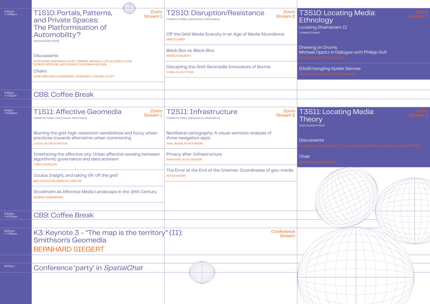| $2:30$ pm<br>$\rightarrow 3:45$ pm | Zoom<br>Stream 1<br><b>TISIO: Portals, Patterns,</b><br>and Private Spaces:<br>The Platformisation of                                                                        | <b>T2S10: Disruption/Resistance</b><br>Zoom  <br>Stream 2<br>THEMATIC PANEL (INDIVIDUAL PROPOSALS)              | <b>T3S10: Locatir</b><br>Ethnology<br>Locating Shamanism II                         |
|------------------------------------|------------------------------------------------------------------------------------------------------------------------------------------------------------------------------|-----------------------------------------------------------------------------------------------------------------|-------------------------------------------------------------------------------------|
|                                    | Automobility?<br><b>DISCUSSION FORUM</b>                                                                                                                                     | Off the Grid: Media Scarcity in an Age of Media Abundance<br><b>GREG ELMER</b>                                  | THEMATIC PANEL                                                                      |
|                                    | <b>Discussants</b>                                                                                                                                                           | <b>Black Box vs. Black Bloc</b><br>RENÉE RIDGWAY                                                                | Drawing on Drums.<br>Michael Oppitz in Dialog<br><b>ICHAEL OPPITZ, PHILIPP GOLL</b> |
|                                    | STEPHANIE SHERMAN, SILKE ZIMMER-MERKLE, LUIS ALVAREZ LEÓN,<br>DEBBIE HOPKINS, WEIQIANG LIN, ROWAN WILKEN<br><b>Chairs</b><br>SAM HIND, MAX KANDERSKE, FERNANDO VAN DER VLIST | Disrupting the Grid: Geomedia Innovators of Burma<br>YUNG AU, KO HTWE                                           | (Dis)Entangling Spider I<br>NJA DRESCHKE, MICHAELA SCH                              |
| $3:45$ pm<br>$\rightarrow 4:15$ pm | <b>CB8: Coffee Break</b>                                                                                                                                                     |                                                                                                                 |                                                                                     |
| $4:15$ pm<br>$\rightarrow 5:30$ pm | <b>T1S11: Affective Geomedia</b><br>Stream 1<br>THEMATIC PANEL (INDIVIDUAL PROPOSALS)                                                                                        | Zoom   T2S11: Infrastructure<br>Zoom  <br>Stream 2<br>THEMATIC PANEL (INDIVIDUAL PROPOSALS)                     | <b>T3S11: Locatin</b><br>Theory<br><b>DISCUSSION FORUM</b>                          |
|                                    | Blurring the grid: high-resolution sensibilities and fuzzy urban<br>practices towards alternative urban commoning<br><b>LUCIA JALON OYARZUN</b>                              | Neoliberal cartography: A visual-semiotic analysis of<br>three navigation apps<br><b>IGAL BAUM, RIVKA RIBAK</b> | <b>Discussants</b><br>ULIA BEE. CAROLIN GERLITZ                                     |
|                                    | Interfacing the affective city. Urban affective sensing between<br>algorithmic governance and data activism<br><b>TIMO KAERLEIN</b>                                          | Privacy after Infrastructure<br><b>SAM HIND, ALEX GEKKER</b>                                                    | Chair                                                                               |
|                                    | Oculus Insight, and taking VR 'off the grid'<br><b>BEN EGLISTON, MARCUS CARTER</b>                                                                                           | The Error at the End of the Internet. Coordinates of geo-media<br>PETER KRAPP                                   |                                                                                     |
|                                    | Stockholm as Affective Media Landscape in the 19th Century<br><b>HENRIK ÖRNEBRING</b>                                                                                        |                                                                                                                 |                                                                                     |
| 5:30pm<br>$\rightarrow$ 6:00pm     | <b>CB9: Coffee Break</b>                                                                                                                                                     |                                                                                                                 |                                                                                     |
| 6:00pm<br>→ 7:30pm                 | K3: Keynote $3$ – "The map is the territory" (II):<br><b>Smithson's Geomedia</b><br><b>BERNHARD SIEGERT</b>                                                                  | Conference<br><b>Stream</b>                                                                                     |                                                                                     |
| 8:00pm                             | Conference 'party' in SpatialChat                                                                                                                                            |                                                                                                                 |                                                                                     |
|                                    |                                                                                                                                                                              |                                                                                                                 |                                                                                     |

## T3S10: Locating Media:

Michael Oppitz in Dialogue with Philipp Goll

ng Spider Dances )<br>CHAELA SCHÄUBLE

### Locating Media: <u>I</u>